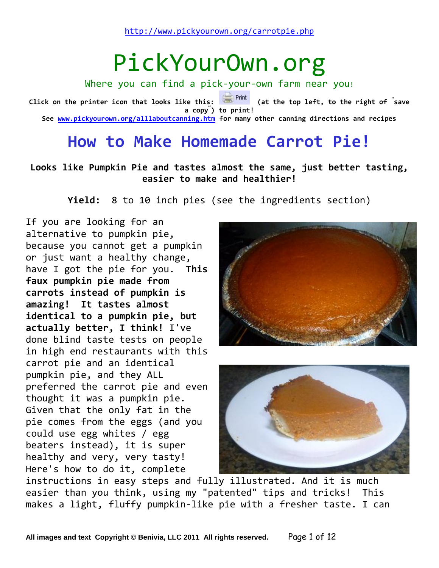# PickYourOwn.org

Where you can find a pick-your-own farm near you! **Click on the printer icon that looks like this: (at the top left, to the right of " save a copy" ) to print! See [www.pickyourown.org/alllaboutcanning.htm](http://www.pickyourown.org/alllaboutcanning.htm) for many other canning directions and recipes**

## **How to Make Homemade Carrot Pie!**

#### **Looks like Pumpkin Pie and tastes almost the same, just better tasting, easier to make and healthier!**

**Yield:** 8 to 10 inch pies (see the ingredients section)

If you are looking for an alternative to pumpkin pie, because you cannot get a pumpkin or just want a healthy change, have I got the pie for you. **This faux pumpkin pie made from carrots instead of pumpkin is amazing! It tastes almost identical to a pumpkin pie, but actually better, I think!** I've done blind taste tests on people in high end restaurants with this carrot pie and an identical pumpkin pie, and they ALL preferred the carrot pie and even thought it was a pumpkin pie. Given that the only fat in the pie comes from the eggs (and you could use egg whites / egg beaters instead), it is super healthy and very, very tasty! Here's how to do it, complete





instructions in easy steps and fully illustrated. And it is much easier than you think, using my "patented" tips and tricks! This makes a light, fluffy pumpkin-like pie with a fresher taste. I can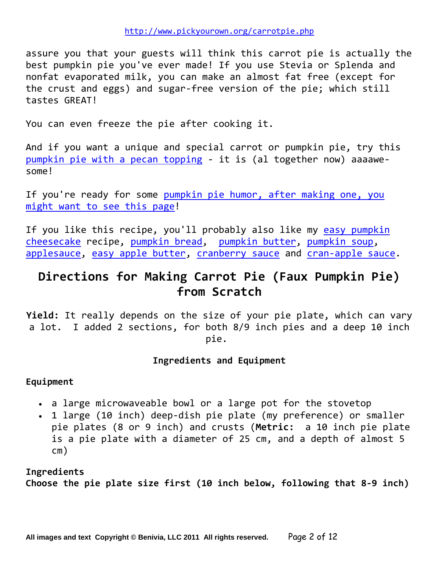assure you that your guests will think this carrot pie is actually the best pumpkin pie you've ever made! If you use Stevia or Splenda and nonfat evaporated milk, you can make an almost fat free (except for the crust and eggs) and sugar-free version of the pie; which still tastes GREAT!

You can even freeze the pie after cooking it.

And if you want a unique and special carrot or pumpkin pie, try this [pumpkin pie with a pecan topping](http://www.pickyourown.org/pumpkin-pie-pecan-topping.php) - it is (al together now) aaaawesome!

If you're ready for some pumpkin pie humor, after making one, you [might want to see this page!](http://www.pickyourown.org/pumpkinhumor.php)

If you like this recipe, you'll probably also like my easy pumpkin [cheesecake](http://www.pickyourown.org/pumpkincheesecake.php) recipe, [pumpkin bread,](http://www.pickyourown.org/pumpkinbread.php) [pumpkin butter,](http://www.pickyourown.org/pumpkinbutter.php) [pumpkin soup,](http://www.pickyourown.org/pumpkinsoup.php) [applesauce,](http://www.pickyourown.org/applesaucewomill.htm) [easy apple butter,](http://www.pickyourown.org/applebutter.htm) [cranberry sauce](http://www.pickyourown.org/cranberryesauce.htm) and [cran-apple sauce.](http://www.pickyourown.org/cranapplesauce.htm)

## **Directions for Making Carrot Pie (Faux Pumpkin Pie) from Scratch**

**Yield:** It really depends on the size of your pie plate, which can vary a lot. I added 2 sections, for both 8/9 inch pies and a deep 10 inch pie.

#### **Ingredients and Equipment**

**Equipment** 

- a large microwaveable bowl or a large pot for the stovetop
- 1 large (10 inch) deep-dish pie plate (my preference) or smaller pie plates (8 or 9 inch) and crusts (**Metric:** a 10 inch pie plate is a pie plate with a diameter of 25 cm, and a depth of almost 5 cm)

**Ingredients Choose the pie plate size first (10 inch below, following that 8-9 inch)**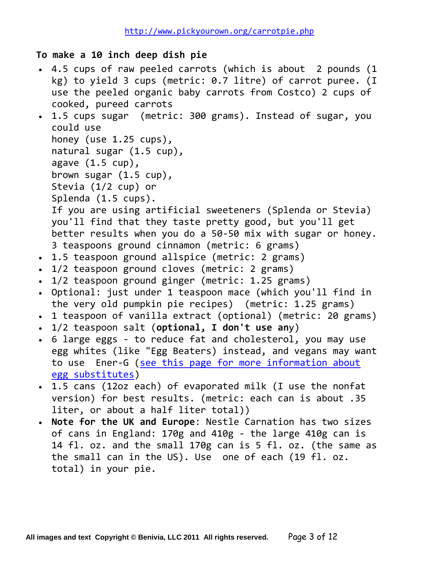**To make a 10 inch deep dish pie**

- 4.5 cups of raw peeled carrots (which is about 2 pounds (1 kg) to yield 3 cups (metric: 0.7 litre) of carrot puree. (I use the peeled organic baby carrots from Costco) 2 cups of cooked, pureed carrots
- 1.5 cups sugar (metric: 300 grams). Instead of sugar, you could use honey (use 1.25 cups), natural sugar (1.5 cup), agave (1.5 cup), brown sugar (1.5 cup), Stevia (1/2 cup) or Splenda (1.5 cups). If you are using artificial sweeteners (Splenda or Stevia) you'll find that they taste pretty good, but you'll get better results when you do a 50-50 mix with sugar or honey. 3 teaspoons ground cinnamon (metric: 6 grams)
- 1.5 teaspoon ground allspice (metric: 2 grams)
- 1/2 teaspoon ground cloves (metric: 2 grams)
- 1/2 teaspoon ground ginger (metric: 1.25 grams)
- Optional: just under 1 teaspoon mace (which you'll find in the very old pumpkin pie recipes) (metric: 1.25 grams)
- 1 teaspoon of vanilla extract (optional) (metric: 20 grams)
- 1/2 teaspoon salt (**optional, I don't use an**y)
- 6 large eggs to reduce fat and cholesterol, you may use egg whites (like "Egg Beaters) instead, and vegans may want to use Ener-G [\(see this page for more information about](http://www.pickyourown.org/egg-substitutes-howtomake.php)  [egg substitutes\)](http://www.pickyourown.org/egg-substitutes-howtomake.php)
- 1.5 cans (12oz each) of evaporated milk (I use the nonfat version) for best results. (metric: each can is about .35 liter, or about a half liter total))
- **Note for the UK and Europe**: Nestle Carnation has two sizes of cans in England: 170g and 410g - the large 410g can is 14 fl. oz. and the small 170g can is 5 fl. oz. (the same as the small can in the US). Use one of each (19 fl. oz. total) in your pie.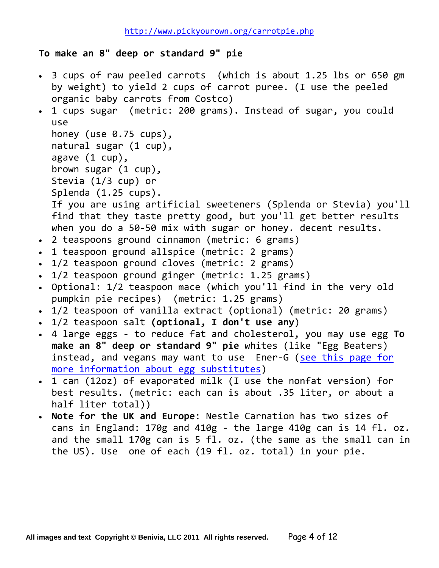**To make an 8" deep or standard 9" pie**

 3 cups of raw peeled carrots (which is about 1.25 lbs or 650 gm by weight) to yield 2 cups of carrot puree. (I use the peeled organic baby carrots from Costco) 1 cups sugar (metric: 200 grams). Instead of sugar, you could use honey (use 0.75 cups), natural sugar (1 cup), agave (1 cup), brown sugar (1 cup), Stevia (1/3 cup) or Splenda (1.25 cups). If you are using artificial sweeteners (Splenda or Stevia) you'll find that they taste pretty good, but you'll get better results when you do a 50-50 mix with sugar or honey. decent results. 2 teaspoons ground cinnamon (metric: 6 grams) 1 teaspoon ground allspice (metric: 2 grams) 1/2 teaspoon ground cloves (metric: 2 grams) 1/2 teaspoon ground ginger (metric: 1.25 grams) Optional: 1/2 teaspoon mace (which you'll find in the very old pumpkin pie recipes) (metric: 1.25 grams) 1/2 teaspoon of vanilla extract (optional) (metric: 20 grams) 1/2 teaspoon salt **(optional, I don't use any**) 4 large eggs - to reduce fat and cholesterol, you may use egg **To make an 8" deep or standard 9" pie** whites (like "Egg Beaters) instead, and vegans may want to use Ener-G [\(see this page for](http://www.pickyourown.org/egg-substitutes-howtomake.php)  [more information about egg substitutes\)](http://www.pickyourown.org/egg-substitutes-howtomake.php) 1 can (12oz) of evaporated milk (I use the nonfat version) for best results. (metric: each can is about .35 liter, or about a half liter total)) **Note for the UK and Europe**: Nestle Carnation has two sizes of cans in England: 170g and 410g - the large 410g can is 14 fl. oz. and the small 170g can is 5 fl. oz. (the same as the small can in the US). Use one of each (19 fl. oz. total) in your pie.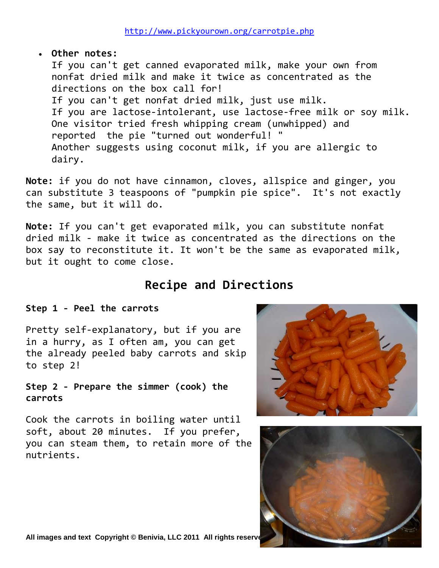#### **Other notes:**

If you can't get canned evaporated milk, make your own from nonfat dried milk and make it twice as concentrated as the directions on the box call for! If you can't get nonfat dried milk, just use milk. If you are lactose-intolerant, use lactose-free milk or soy milk. One visitor tried fresh whipping cream (unwhipped) and reported the pie "turned out wonderful! " Another suggests using coconut milk, if you are allergic to dairy.

**Note:** if you do not have cinnamon, cloves, allspice and ginger, you can substitute 3 teaspoons of "pumpkin pie spice". It's not exactly the same, but it will do.

**Note:** If you can't get evaporated milk, you can substitute nonfat dried milk - make it twice as concentrated as the directions on the box say to reconstitute it. It won't be the same as evaporated milk, but it ought to come close.

## **Recipe and Directions**

#### **Step 1 - Peel the carrots**

Pretty self-explanatory, but if you are in a hurry, as I often am, you can get the already peeled baby carrots and skip to step 2!

**Step 2 - Prepare the simmer (cook) the carrots**

Cook the carrots in boiling water until soft, about 20 minutes. If you prefer, you can steam them, to retain more of the nutrients.



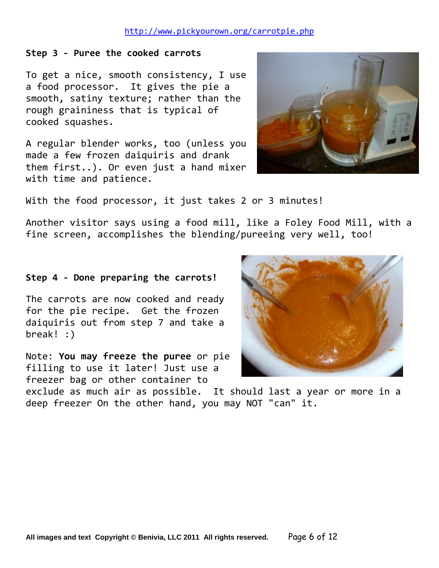#### **Step 3 - Puree the cooked carrots**

To get a nice, smooth consistency, I use a food processor. It gives the pie a smooth, satiny texture; rather than the rough graininess that is typical of cooked squashes.

A regular blender works, too (unless you made a few frozen daiquiris and drank them first..). Or even just a hand mixer with time and patience.



With the food processor, it just takes 2 or 3 minutes!

Another visitor says using a food mill, like a Foley Food Mill, with a fine screen, accomplishes the blending/pureeing very well, too!

#### **Step 4 - Done preparing the carrots!**

The carrots are now cooked and ready for the pie recipe. Get the frozen daiquiris out from step 7 and take a break! :)

Note: **You may freeze the puree** or pie filling to use it later! Just use a freezer bag or other container to



exclude as much air as possible. It should last a year or more in a deep freezer On the other hand, you may NOT "can" it.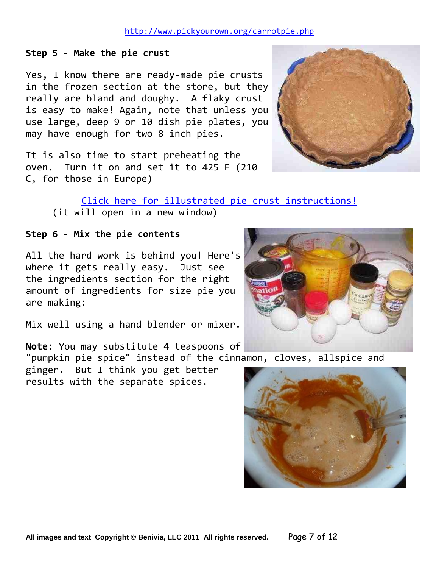#### **Step 5 - Make the pie crust**

Yes, I know there are ready-made pie crusts in the frozen section at the store, but they really are bland and doughy. A flaky crust is easy to make! Again, note that unless you use large, deep 9 or 10 dish pie plates, you may have enough for two 8 inch pies.

It is also time to start preheating the oven. Turn it on and set it to 425 F (210 C, for those in Europe)

#### [Click here for illustrated pie crust instructions!](http://www.pickyourown.org/piecrust.php)

(it will open in a new window)

#### **Step 6 - Mix the pie contents**

All the hard work is behind you! Here's where it gets really easy. Just see the ingredients section for the right amount of ingredients for size pie you are making:

Mix well using a hand blender or mixer.

**Note:** You may substitute 4 teaspoons of

"pumpkin pie spice" instead of the cinnamon, cloves, allspice and

ginger. But I think you get better results with the separate spices.





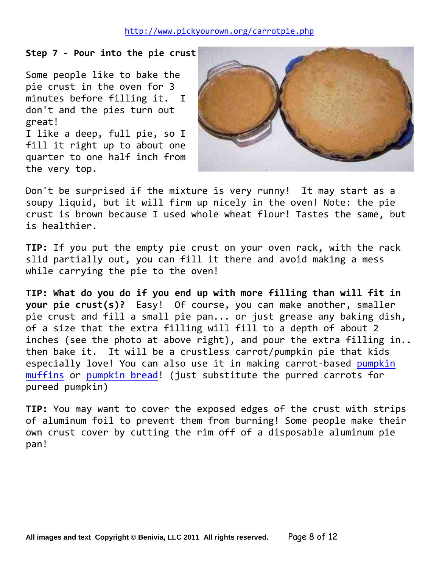#### **Step 7 - Pour into the pie crust**

Some people like to bake the pie crust in the oven for 3 minutes before filling it. I don't and the pies turn out great! I like a deep, full pie, so I fill it right up to about one quarter to one half inch from the very top.



Don't be surprised if the mixture is very runny! It may start as a soupy liquid, but it will firm up nicely in the oven! Note: the pie crust is brown because I used whole wheat flour! Tastes the same, but is healthier.

**TIP:** If you put the empty pie crust on your oven rack, with the rack slid partially out, you can fill it there and avoid making a mess while carrying the pie to the oven!

**TIP: What do you do if you end up with more filling than will fit in your pie crust(s)?** Easy! Of course, you can make another, smaller pie crust and fill a small pie pan... or just grease any baking dish, of a size that the extra filling will fill to a depth of about 2 inches (see the photo at above right), and pour the extra filling in.. then bake it. It will be a crustless carrot/pumpkin pie that kids especially love! You can also use it in making carrot-based [pumpkin](http://www.pickyourown.org/carrotpie.php#pumpkinmuffins)  [muffins](http://www.pickyourown.org/carrotpie.php#pumpkinmuffins) or [pumpkin bread!](http://www.pickyourown.org/pumpkinbread.php) (just substitute the purred carrots for pureed pumpkin)

**TIP:** You may want to cover the exposed edges of the crust with strips of aluminum foil to prevent them from burning! Some people make their own crust cover by cutting the rim off of a disposable aluminum pie pan!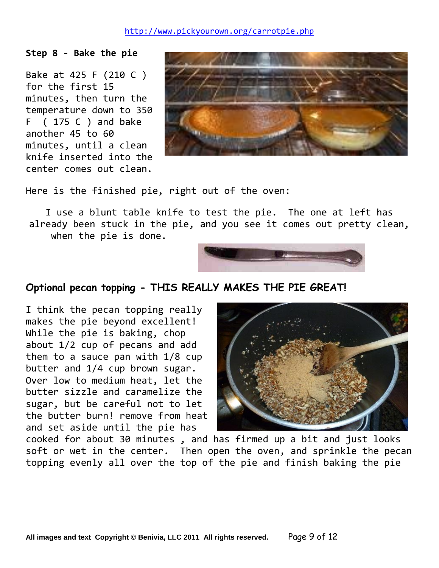**Step 8 - Bake the pie**

Bake at 425 F (210 C ) for the first 15 minutes, then turn the temperature down to 350 F ( 175 C ) and bake another 45 to 60 minutes, until a clean knife inserted into the center comes out clean.



Here is the finished pie, right out of the oven:

I use a blunt table knife to test the pie. The one at left has already been stuck in the pie, and you see it comes out pretty clean, when the pie is done.



### **Optional pecan topping - THIS REALLY MAKES THE PIE GREAT!**

I think the pecan topping really makes the pie beyond excellent! While the pie is baking, chop about 1/2 cup of pecans and add them to a sauce pan with 1/8 cup butter and 1/4 cup brown sugar. Over low to medium heat, let the butter sizzle and caramelize the sugar, but be careful not to let the butter burn! remove from heat and set aside until the pie has



cooked for about 30 minutes , and has firmed up a bit and just looks soft or wet in the center. Then open the oven, and sprinkle the pecan topping evenly all over the top of the pie and finish baking the pie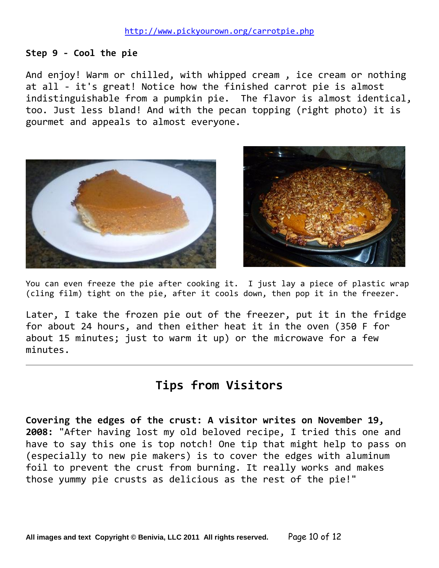#### **Step 9 - Cool the pie**

And enjoy! Warm or chilled, with whipped cream, ice cream or nothing at all - it's great! Notice how the finished carrot pie is almost indistinguishable from a pumpkin pie. The flavor is almost identical, too. Just less bland! And with the pecan topping (right photo) it is gourmet and appeals to almost everyone.





You can even freeze the pie after cooking it. I just lay a piece of plastic wrap (cling film) tight on the pie, after it cools down, then pop it in the freezer.

Later, I take the frozen pie out of the freezer, put it in the fridge for about 24 hours, and then either heat it in the oven (350 F for about 15 minutes; just to warm it up) or the microwave for a few minutes.

## **Tips from Visitors**

**Covering the edges of the crust: A visitor writes on November 19, 2008:** "After having lost my old beloved recipe, I tried this one and have to say this one is top notch! One tip that might help to pass on (especially to new pie makers) is to cover the edges with aluminum foil to prevent the crust from burning. It really works and makes those yummy pie crusts as delicious as the rest of the pie!"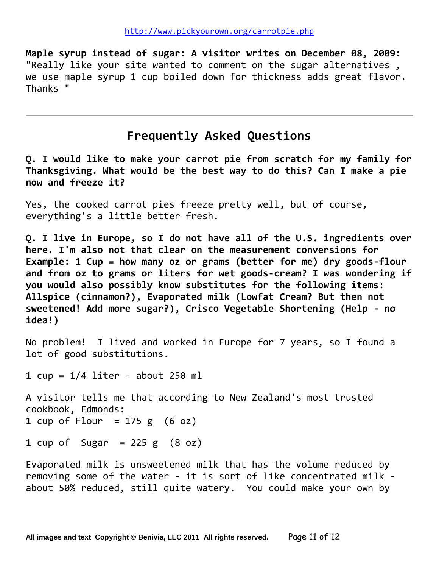**Maple syrup instead of sugar: A visitor writes on December 08, 2009:** "Really like your site wanted to comment on the sugar alternatives , we use maple syrup 1 cup boiled down for thickness adds great flavor. Thanks "

## **Frequently Asked Questions**

**Q. I would like to make your carrot pie from scratch for my family for Thanksgiving. What would be the best way to do this? Can I make a pie now and freeze it?** 

Yes, the cooked carrot pies freeze pretty well, but of course, everything's a little better fresh.

**Q. I live in Europe, so I do not have all of the U.S. ingredients over here. I'm also not that clear on the measurement conversions for Example: 1 Cup = how many oz or grams (better for me) dry goods-flour and from oz to grams or liters for wet goods-cream? I was wondering if you would also possibly know substitutes for the following items: Allspice (cinnamon?), Evaporated milk (Lowfat Cream? But then not sweetened! Add more sugar?), Crisco Vegetable Shortening (Help - no idea!)**

No problem! I lived and worked in Europe for 7 years, so I found a lot of good substitutions.

1  $cup = 1/4$  liter - about 250 ml

A visitor tells me that according to New Zealand's most trusted cookbook, Edmonds: 1 cup of Flour =  $175 g$  (6 oz)

1 cup of Sugar =  $225 g$   $(8 oz)$ 

Evaporated milk is unsweetened milk that has the volume reduced by removing some of the water - it is sort of like concentrated milk about 50% reduced, still quite watery. You could make your own by